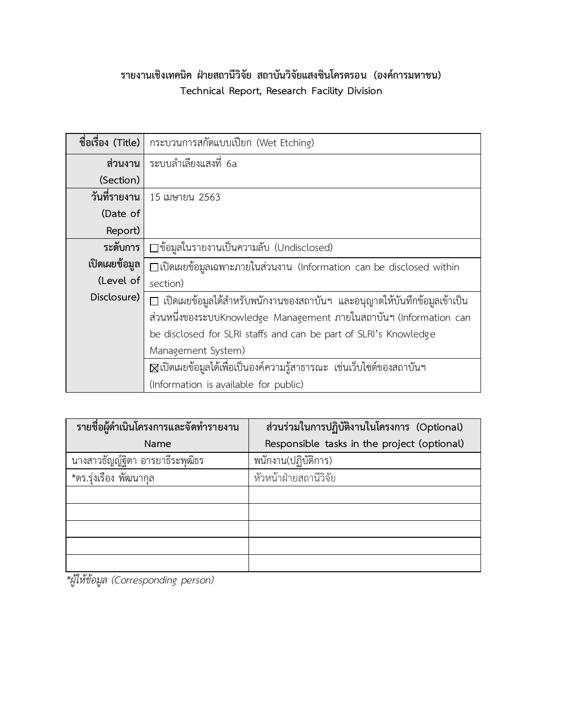### **รายงานเชิงเทคนิค ฝ่ายสถานีวิจัย สถาบันวิจัยแสงซินโครตรอน (องค์การมหาชน) Technical Report, Research Facility Division**

| ชื่อเรื่อง (Title) | กระบวนการสกัดแบบเปียก (Wet Etching)                                           |
|--------------------|-------------------------------------------------------------------------------|
| ส่วนงาน            | ระบบลำเลียงแสงที่ 6a                                                          |
| (Section)          |                                                                               |
| วันที่รายงาน       | 15 เมษายน 2563                                                                |
| (Date of           |                                                                               |
| Report)            |                                                                               |
| ระดับการ           | □ข้อมูลในรายงานเป็นความลับ (Undisclosed)                                      |
| เปิดเผยข้อมูล      | $\square$ เปิดเผยข้อมูลเฉพาะภายในส่วนงาน (Information can be disclosed within |
| (Level of          | section)                                                                      |
| Disclosure)        | □ เปิดเผยข้อมูลได้สำหรับพนักงานของสถาบันฯ และอนุญาตให้บันทึกข้อมูลเข้าเป็น    |
|                    | ส่วนหนึ่งของระบบKnowledge Management ภายในสถาบันฯ (Information can            |
|                    | be disclosed for SLRI staffs and can be part of SLRI's Knowledge              |
|                    | Management System)                                                            |
|                    | ⊠เปิดเผยข้อมูลได้เพื่อเป็นองค์ความรู้สาธารณะ เช่นเว็บไซต์ของสถาบันฯ           |
|                    | (Information is available for public)                                         |

| รายชื่อผู้ดำเนินโครงการและจัดทำรายงาน | ส่วนร่วมในการปฏิบัติงานในโครงการ (Optional) |
|---------------------------------------|---------------------------------------------|
| Name                                  | Responsible tasks in the project (optional) |
| นางสาวธัญญัฐิตา อารยาธีระพุฒิธร       | พนักงาน(ปฏิบัติการ)                         |
| *ดร.รุ่งเรือง พัฒนากุล                | หัวหน้าฝ่ายสถานีวิจัย                       |
|                                       |                                             |
|                                       |                                             |
|                                       |                                             |
|                                       |                                             |
|                                       |                                             |

*\*ผู้ให้ข้อมูล (Corresponding person)*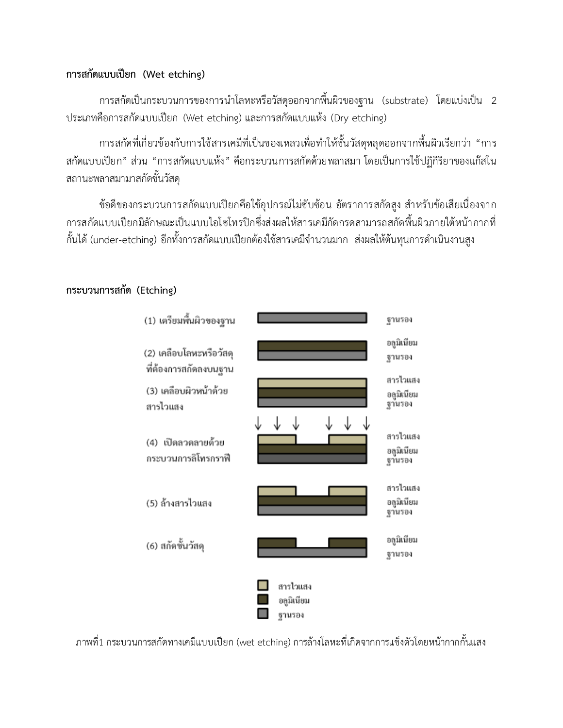### **การสกัดแบบเปียก (Wet etching)**

การสกัดเป็นกระบวนการของการนำโลหะหรือวัสดุออกจากพื้นผิวของฐาน (substrate) โดยแบ่งเป็น 2 ประเภทคือการสกัดแบบเปียก (Wet etching) และการสกัดแบบแห้ง (Dry etching)

การสกัดที่เกี่ยวข้องกับการใช้สารเคมีที่เป็นของเหลวเพื่อทำให้ชั้นวัสดุหลุดออกจากพื้นผิวเรียกว่า "การ สกัดแบบเปียก" ส่วน "การสกัดแบบแห้ง" คือกระบวนการสกัดด้วยพลาสมา โดยเป็นการใช้ปฏิกิริยาของแก๊สใน สถานะพลาสมามาสกัดชั้นวัสดุ

ข้อดีของกระบวนการสกัดแบบเปียกคือใช้อุปกรณ์ไม่ซับซ้อน อัตราการสกัดสูง สำหรับข้อเสียเนื่องจาก การสกัดแบบเปียกมีลักษณะเป็นแบบไอโซโทรปิกซึ่งส่งผลให้สารเคมีกัดกรดสามารถสกัดพื้นผิวภายใต้หน้ากากที่ ้กั้นได้ (under-etching) อีกทั้งการสกัดแบบเปียกต้องใช้สารเคมีจำนวนมาก ส่งผลให้ต้นทุนการดำเนินงานสูง



#### **กระบวนการสกัด (Etching)**

ภาพที่1 กระบวนการสกัดทางเคมีแบบเปียก (wet etching) การล้างโลหะที่เกิดจากการแข็งตัวโดยหน้ากากกั้นแสง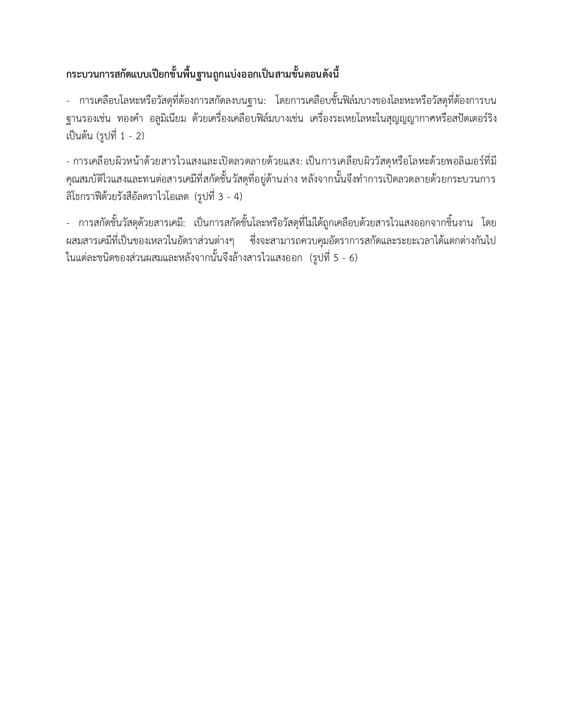## **กระบวนการสกัดแบบเปียกขั้นพื้นฐานถูกแบ่งออกเป็นสามขั้นตอนดังนี้**

- การเคลือบโลหะหรือวัสดุที่ต้องการสกัดลงบนฐาน: โดยการเคลือบชั้นฟิล์มบางของโละหะหรือวัสดุที่ต้องการบน ฐานรองเช่น ทองคำ อลูมิเนียม ด้วยเครื่องเคลือบฟิล์มบางเช่น เครื่องระเหยโลหะในสุญญญากาศหรือสปัตเตอร์ริง เป็นต้น (รูปที่ 1 - 2)

- การเคลือบผิวหน้าด้วยสารไวแสงและเปิดลวดลายด้วยแสง: เป็นการเคลือบผิววัสดุหรือโลหะด้วยพอลิเมอร์ที่มี ้ คุณสมบัติไวแสงและทนต่อสารเคมีที่สกัดชั้นวัสดุที่อยู่ด้านล่าง หลังจากนั้นจึงทำการเปิดลวดลายด้วยกระบวนการ ลิโธกราฟีด้วยรังสีอัลตราไวโอเลต (รูปที่ 3 - 4)

- การสกัดชั้นวัสดุด้วยสารเคมี: เป็นการสกัดชั้นโละหรือวัสดุที่ไม่ได้ถูกเคลือบด้วยสารไวแสงออกจากชิ้นงาน โดย ผสมสารเคมีที่เป็นของเหลวในอัตราส่วนต่างๆ ซึ่งจะสามารถควบคุมอัตราการสกัดและระยะเวลาได้แตกต่างกันไป ในแต่ละชนิดของส่วนผสมและหลังจากนั้นจึงล้างสารไวแสงออก (รูปที่ 5 - 6)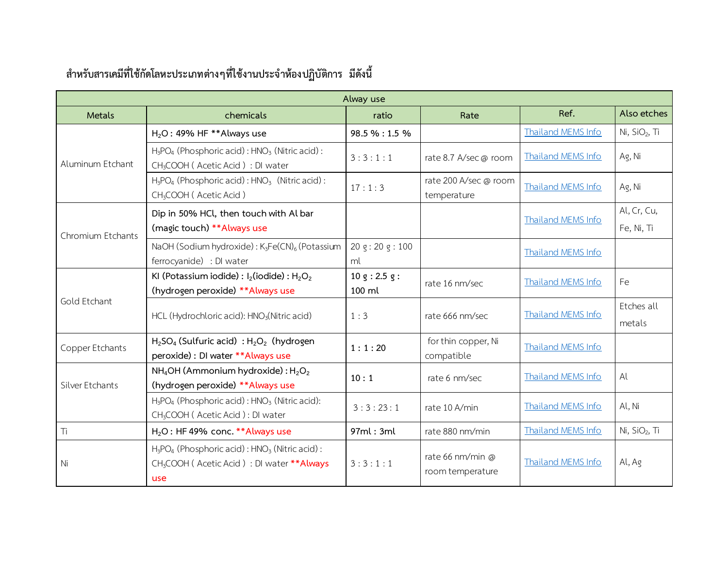| Alway use         |                                                                                                                              |                                                                                                                              |                                      |                           |                           |
|-------------------|------------------------------------------------------------------------------------------------------------------------------|------------------------------------------------------------------------------------------------------------------------------|--------------------------------------|---------------------------|---------------------------|
| <b>Metals</b>     | chemicals                                                                                                                    | ratio                                                                                                                        | Rate                                 | Ref.                      | Also etches               |
|                   | $H2O$ : 49% HF **Always use                                                                                                  | 98.5 % : 1.5 %                                                                                                               |                                      | Thailand MEMS Info        | Ni, $SiO2$ , Ti           |
| Aluminum Etchant  | $H_3PO_4$ (Phosphoric acid): $HNO_3$ (Nitric acid):<br>CH <sub>3</sub> COOH (Acetic Acid) : DI water                         | 3:3:1:1                                                                                                                      | rate 8.7 A/sec @ room                | <b>Thailand MEMS Info</b> | Ag, Ni                    |
|                   | $H_3PO_4$ (Phosphoric acid): $HNO_3$ (Nitric acid):<br>CH <sub>3</sub> COOH (Acetic Acid)                                    | 17:1:3                                                                                                                       | rate 200 A/sec @ room<br>temperature | Thailand MEMS Info        | Ag, Ni                    |
| Chromium Etchants | Dip in 50% HCl, then touch with Al bar<br>(magic touch) ** Always use                                                        | 20 g: 20 g: 100<br>ml<br>10 g: 2.5 g:<br>rate 16 nm/sec<br>$100 \mathrm{m}$<br>1:3<br>rate 666 nm/sec<br>for thin copper, Ni | <b>Thailand MEMS Info</b>            | Al, Cr, Cu,<br>Fe, Ni, Ti |                           |
|                   | NaOH (Sodium hydroxide): K <sub>3</sub> Fe(CN) <sub>6</sub> (Potassium<br>ferrocyanide) : DI water                           |                                                                                                                              |                                      | Thailand MEMS Info        |                           |
| Gold Etchant      | KI (Potassium iodide) : $I_2$ (iodide) : $H_2O_2$<br>(hydrogen peroxide) **Always use                                        |                                                                                                                              |                                      | <b>Thailand MEMS Info</b> | Fe                        |
|                   | HCL (Hydrochloric acid): HNO <sub>3</sub> (Nitric acid)                                                                      |                                                                                                                              |                                      | Thailand MEMS Info        | Etches all<br>metals      |
| Copper Etchants   | $H_2SO_4$ (Sulfuric acid) : $H_2O_2$ (hydrogen<br>peroxide) : DI water **Always use                                          | 1:1:20                                                                                                                       | compatible                           | <b>Thailand MEMS Info</b> |                           |
| Silver Etchants   | $NH_4OH$ (Ammonium hydroxide) : $H_2O_2$<br>(hydrogen peroxide) ** Always use                                                | 10:1                                                                                                                         | rate 6 nm/sec                        | Thailand MEMS Info        | Al                        |
|                   | $H_3PO_4$ (Phosphoric acid): $HNO_3$ (Nitric acid):<br>CH <sub>3</sub> COOH (Acetic Acid): DI water                          | 3:3:23:1                                                                                                                     | rate 10 A/min                        | Thailand MEMS Info        | Al, Ni                    |
| Ti                | $H_2O$ : HF 49% conc. ** Always use                                                                                          | 97ml: 3ml                                                                                                                    | rate 880 nm/min                      | Thailand MEMS Info        | Ni, SiO <sub>2</sub> , Ti |
| Ni                | $H_3PO_4$ (Phosphoric acid): $HNO_3$ (Nitric acid):<br>CH <sub>3</sub> COOH (Acetic Acid) : DI water ** Always<br><b>use</b> | 3:3:1:1                                                                                                                      | rate 66 nm/min @<br>room temperature | Thailand MEMS Info        | Al, Ag                    |

## **ส าหรับสารเคมีที่ใช้กัดโลหะประเภทต่างๆที่ใช้งานประจ าห้องปฏิบัติการ มีดังนี้**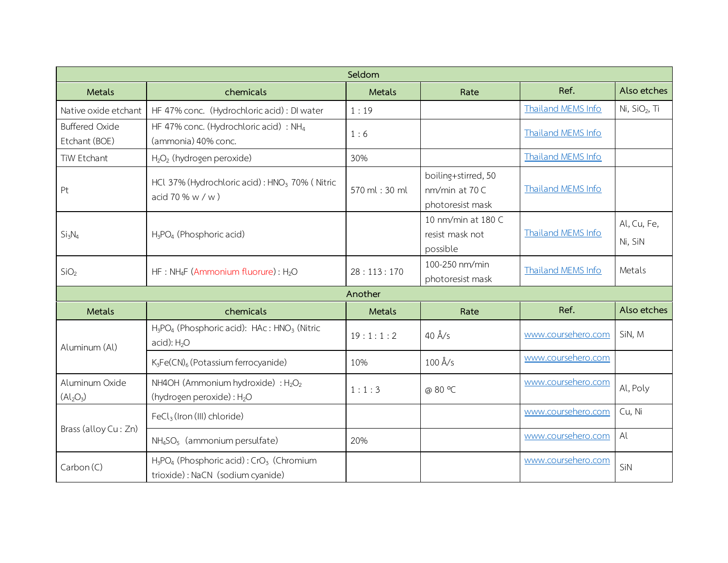| Seldom                                              |                                                                                                                  |               |                                                           |                    |                           |  |
|-----------------------------------------------------|------------------------------------------------------------------------------------------------------------------|---------------|-----------------------------------------------------------|--------------------|---------------------------|--|
| <b>Metals</b>                                       | chemicals                                                                                                        | Metals        | Rate                                                      | Ref.               | Also etches               |  |
| Native oxide etchant                                | HF 47% conc. (Hydrochloric acid) : DI water                                                                      | 1:19          |                                                           | Thailand MEMS Info | Ni, SiO <sub>2</sub> , Ti |  |
| <b>Buffered Oxide</b><br>Etchant (BOE)              | HF 47% conc. (Hydrochloric acid) : NH <sub>4</sub><br>(ammonia) 40% conc.                                        | 1:6           |                                                           | Thailand MEMS Info |                           |  |
| TiW Etchant                                         | $H_2O_2$ (hydrogen peroxide)                                                                                     | 30%           |                                                           | Thailand MEMS Info |                           |  |
| Pt                                                  | HCl 37% (Hydrochloric acid) : HNO <sub>3</sub> 70% (Nitric<br>acid 70 % $w / w$ )                                | 570 ml: 30 ml | boiling+stirred, 50<br>nm/min at 70 C<br>photoresist mask | Thailand MEMS Info |                           |  |
| Si <sub>3</sub> N <sub>4</sub>                      | $H_3PO_4$ (Phosphoric acid)                                                                                      |               | 10 nm/min at 180 C<br>resist mask not<br>possible         | Thailand MEMS Info | Al, Cu, Fe,<br>Ni, SiN    |  |
| SiO <sub>2</sub>                                    | HF: NH <sub>4</sub> F (Ammonium fluorure): H <sub>2</sub> O                                                      | 28:113:170    | 100-250 nm/min<br>photoresist mask                        | Thailand MEMS Info | Metals                    |  |
|                                                     |                                                                                                                  | Another       |                                                           |                    |                           |  |
| <b>Metals</b>                                       | chemicals                                                                                                        | Metals        | Rate                                                      | Ref.               | Also etches               |  |
| Aluminum (Al)                                       | H <sub>3</sub> PO <sub>4</sub> (Phosphoric acid): HAc: HNO <sub>3</sub> (Nitric<br>$acid$ : $H2O$                | 19:1:1:2      | $40 \text{ Å/s}$                                          | www.coursehero.com | SiN, M                    |  |
|                                                     | $K_3Fe(CN)_6$ (Potassium ferrocyanide)                                                                           | 10%           | $100 \text{ Å/s}$                                         | www.coursehero.com |                           |  |
| Aluminum Oxide<br>(Al <sub>2</sub> O <sub>3</sub> ) | NH4OH (Ammonium hydroxide) : $H_2O_2$<br>(hydrogen peroxide) : H <sub>2</sub> O                                  | 1:1:3         | @ 80 °C                                                   | www.coursehero.com | Al, Poly                  |  |
| Brass (alloy Cu: Zn)                                | FeCl <sub>3</sub> (Iron (III) chloride)                                                                          |               |                                                           | www.coursehero.com | Cu, Ni                    |  |
|                                                     | $NH4SO5$ (ammonium persulfate)                                                                                   | 20%           |                                                           | www.coursehero.com | Al                        |  |
| Carbon (C)                                          | H <sub>3</sub> PO <sub>4</sub> (Phosphoric acid): CrO <sub>3</sub> (Chromium<br>trioxide): NaCN (sodium cyanide) |               |                                                           | www.coursehero.com | SiN                       |  |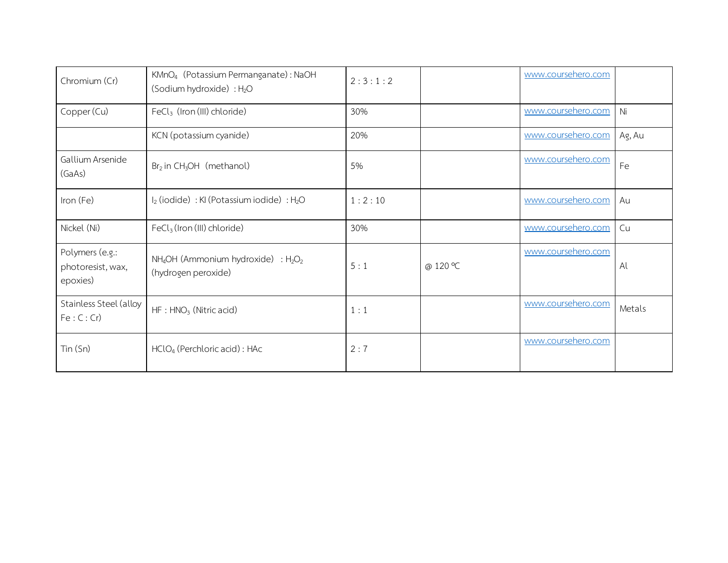| Chromium (Cr)                                    | KMnO <sub>4</sub> (Potassium Permanganate): NaOH<br>(Sodium hydroxide) : H <sub>2</sub> O | 2:3:1:2 |          | www.coursehero.com |        |
|--------------------------------------------------|-------------------------------------------------------------------------------------------|---------|----------|--------------------|--------|
| Copper (Cu)                                      | $FeCl3$ (Iron (III) chloride)                                                             | 30%     |          | www.coursehero.com | Ni     |
|                                                  | KCN (potassium cyanide)                                                                   | 20%     |          | www.coursehero.com | Ag, Au |
| Gallium Arsenide<br>(GaAs)                       | $Br2$ in CH <sub>3</sub> OH (methanol)                                                    | 5%      |          | www.coursehero.com | Fe     |
| Iron (Fe)                                        | I <sub>2</sub> (iodide) : KI (Potassium iodide) : H <sub>2</sub> O                        | 1:2:10  |          | www.coursehero.com | Au     |
| Nickel (Ni)                                      | $FeCl3$ (Iron (III) chloride)                                                             | 30%     |          | www.coursehero.com | Cu     |
| Polymers (e.g.:<br>photoresist, wax,<br>epoxies) | $NH_4OH$ (Ammonium hydroxide) : $H_2O_2$<br>(hydrogen peroxide)                           | 5:1     | @ 120 °C | www.coursehero.com | Al     |
| Stainless Steel (alloy<br>Fe: C: Cr              | $HF : HNO3$ (Nitric acid)                                                                 | 1:1     |          | www.coursehero.com | Metals |
| Tin (Sn)                                         | $HClO4$ (Perchloric acid) : HAc                                                           | 2:7     |          | www.coursehero.com |        |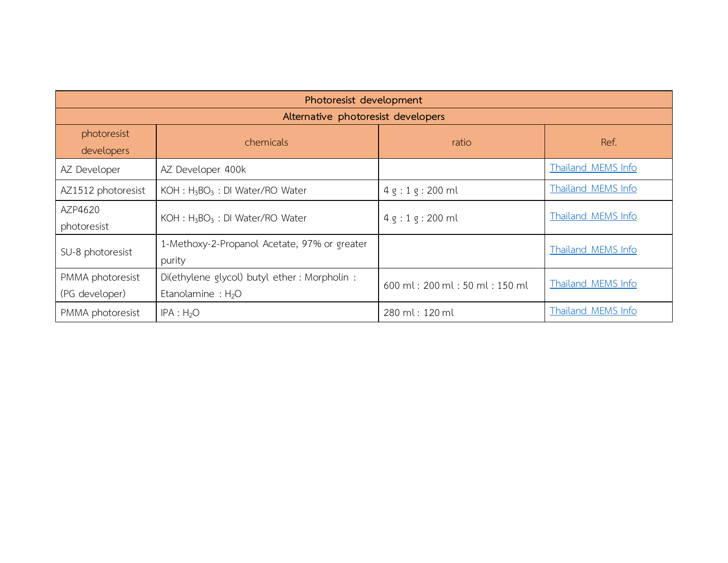| Photoresist development            |                                                                      |                               |                           |  |  |
|------------------------------------|----------------------------------------------------------------------|-------------------------------|---------------------------|--|--|
| Alternative photoresist developers |                                                                      |                               |                           |  |  |
| photoresist<br>developers          | chemicals                                                            | ratio                         | Ref.                      |  |  |
| AZ Developer                       | AZ Developer 400k                                                    |                               | Thailand MEMS Info        |  |  |
| AZ1512 photoresist                 | KOH : H <sub>3</sub> BO <sub>3</sub> : DI Water/RO Water             | $4g:1g:200$ ml                | Thailand MEMS Info        |  |  |
| AZP4620<br>photoresist             | $KOH : H_3BO_3 : DI Water/RO Water$                                  | $4g:1g:200$ ml                | Thailand MEMS Info        |  |  |
| SU-8 photoresist                   | 1-Methoxy-2-Propanol Acetate, 97% or greater<br>purity               |                               | Thailand MEMS Info        |  |  |
| PMMA photoresist<br>(PG developer) | Di(ethylene glycol) butyl ether: Morpholin :<br>Etanolamine : $H_2O$ | 600 ml: 200 ml: 50 ml: 150 ml | <b>Thailand MEMS Info</b> |  |  |
| PMMA photoresist                   | IPA : H <sub>2</sub> O                                               | 280 ml: 120 ml                | Thailand MEMS Info        |  |  |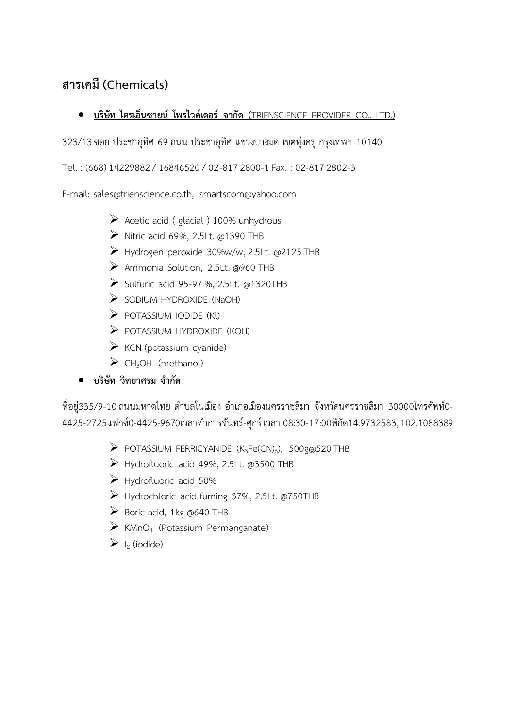### **สารเคมี (Chemicals)**

#### **บริษัท ไตรเอ็นซายน์ โพรไวด์เดอร์ จากัด (**TRIENSCIENCE PROVIDER CO., LTD.)

323/13ซอย ประชาอุทิศ 69 ถนน ประชาอุทิศ แขวงบางมด เขตทุ่งครุ กรุงเทพฯ 10140

Tel. : (668) 14229882 / 16846520 / 02-817 2800-1 Fax. : 02-817 2802-3

E-mail: sales@trienscience.co.th, smartscom@yahoo.com

- $\triangleright$  Acetic acid ( glacial ) 100% unhydrous
- $\triangleright$  Nitric acid 69%, 2.5Lt. @1390 THB
- Hydrogen peroxide 30%w/w,2.5Lt. @2125 THB
- Ammonia Solution, 2.5Lt. @960 THB
- $\triangleright$  Sulfuric acid 95-97 %, 2.5Lt. @1320THB
- $\triangleright$  SODIUM HYDROXIDE (NaOH)
- $\triangleright$  POTASSIUM IODIDE (KI)
- $\triangleright$  POTASSIUM HYDROXIDE (KOH)
- $\triangleright$  KCN (potassium cyanide)
- $\triangleright$  CH<sub>3</sub>OH (methanol)
- **•** บริษัท วิทยาศรม จำกัด

ที่อยู่335/9-10 ถนนมหาดไทย ตำบลในเมือง อำเภอเมืองนครราชสีมา จังหวัดนครราชสีมา 30000โทรศัพท์0-4425-2725แฟกซ์0-4425-9670เวลาทำการจันทร์-ศุกร์ เวลา 08:30-17:00พิกัด14.9732583, 102.1088389

- $\triangleright$  POTASSIUM FERRICYANIDE (K<sub>3</sub>Fe(CN)<sub>6</sub>), 500g@520 THB
- Hydrofluoric acid 49%, 2.5Lt. @3500 THB
- $\triangleright$  Hydrofluoric acid 50%
- Hydrochloric acid fuming 37%, 2.5Lt. @750THB
- $\triangleright$  Boric acid, 1kg @640 THB
- $\triangleright$  KMnO<sub>4</sub> (Potassium Permanganate)
- $\triangleright$  I<sub>2</sub> (iodide)